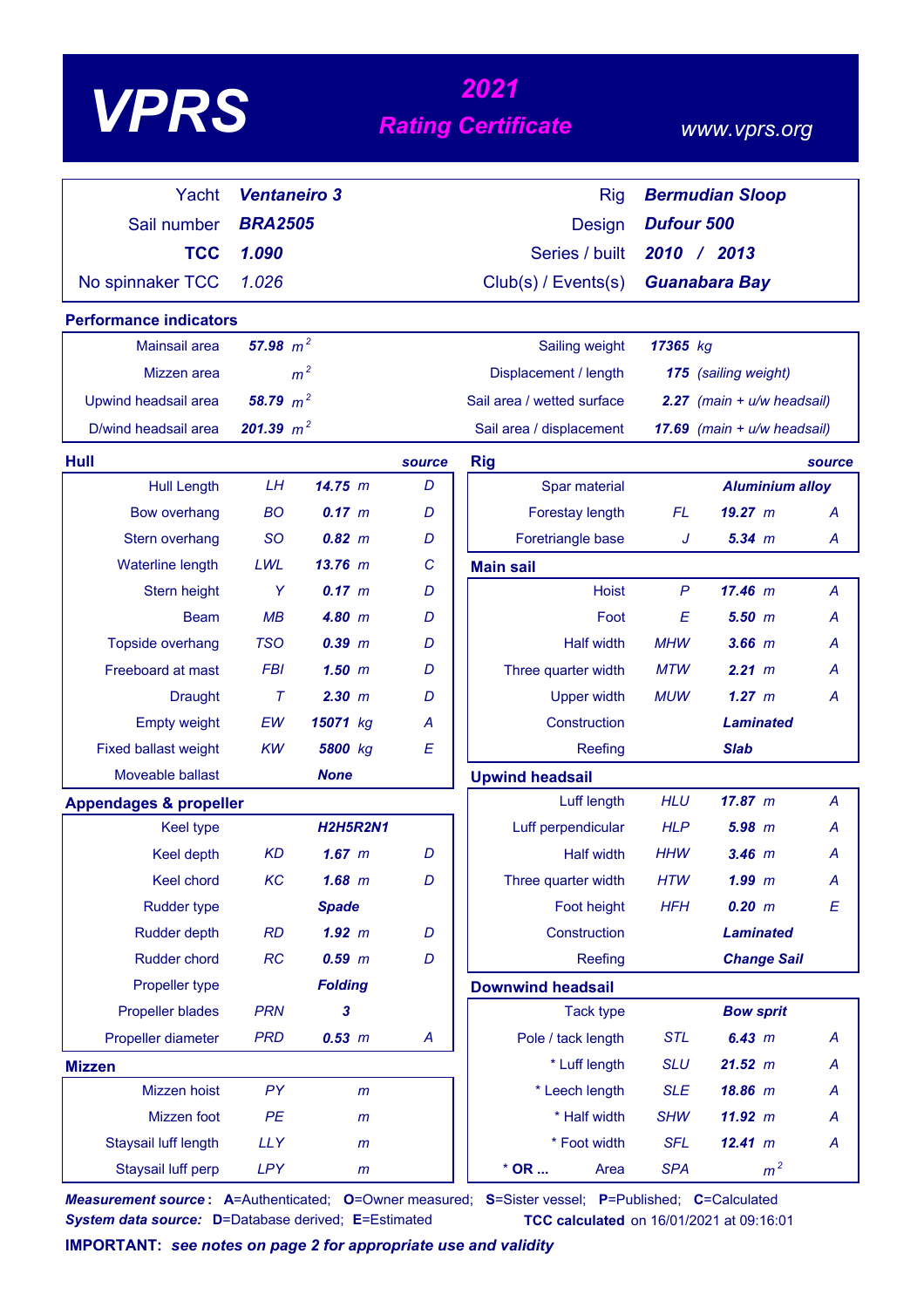# *<sup>2021</sup> VPRS Rating Certificate*

### *www.vprs.org*

| Yacht                             | <b>Ventaneiro 3</b> |                 |        | <b>Rig</b>                 | <b>Bermudian Sloop</b> |                                |                  |
|-----------------------------------|---------------------|-----------------|--------|----------------------------|------------------------|--------------------------------|------------------|
| Sail number                       | <b>BRA2505</b>      |                 |        | <b>Design</b>              | <b>Dufour 500</b>      |                                |                  |
| <b>TCC</b>                        | 1.090               |                 |        | Series / built             |                        | 2010 / 2013                    |                  |
| No spinnaker TCC                  | 1.026               |                 |        | Club(s) / Events(s)        |                        | <b>Guanabara Bay</b>           |                  |
|                                   |                     |                 |        |                            |                        |                                |                  |
| <b>Performance indicators</b>     |                     |                 |        |                            |                        |                                |                  |
| <b>Mainsail area</b>              | 57.98 $m^2$         |                 |        | Sailing weight             | 17365 kg               |                                |                  |
| Mizzen area                       |                     | m <sup>2</sup>  |        | Displacement / length      |                        | 175 (sailing weight)           |                  |
| Upwind headsail area              | 58.79 $m^2$         |                 |        | Sail area / wetted surface |                        | $2.27$ (main + $u/w$ headsail) |                  |
| D/wind headsail area              | 201.39 $m^2$        |                 |        | Sail area / displacement   |                        | 17.69 (main + u/w headsail)    |                  |
| Hull                              |                     |                 | source | <b>Rig</b>                 |                        |                                | source           |
| <b>Hull Length</b>                | LH                  | 14.75 m         | D      | Spar material              |                        | <b>Aluminium alloy</b>         |                  |
| <b>Bow overhang</b>               | <b>BO</b>           | $0.17 \, m$     | D      | <b>Forestay length</b>     | FL                     | 19.27 m                        | A                |
| Stern overhang                    | <b>SO</b>           | $0.82 \, m$     | D      | Foretriangle base          | J                      | $5.34$ $m$                     | A                |
| Waterline length                  | LWL                 | $13.76$ m       | C      | <b>Main sail</b>           |                        |                                |                  |
| Stern height                      | Y                   | 0.17 m          | D      | <b>Hoist</b>               | P                      | 17.46 m                        | A                |
| <b>Beam</b>                       | MB                  | 4.80 m          | D      | Foot                       | E                      | 5.50~m                         | A                |
| Topside overhang                  | <b>TSO</b>          | $0.39$ $m$      | D      | <b>Half width</b>          | <b>MHW</b>             | $3.66$ $m$                     | А                |
| Freeboard at mast                 | <b>FBI</b>          | $1.50$ m        | D      | Three quarter width        | <b>MTW</b>             | 2.21 m                         | А                |
| <b>Draught</b>                    | $\tau$              | $2.30$ $m$      | D      | <b>Upper width</b>         | <b>MUW</b>             | 1.27~m                         | A                |
| <b>Empty weight</b>               | EW                  | 15071 kg        | А      | Construction               |                        | <b>Laminated</b>               |                  |
| <b>Fixed ballast weight</b>       | KW                  | 5800 kg         | E      | Reefing                    |                        | <b>Slab</b>                    |                  |
| Moveable ballast                  |                     | <b>None</b>     |        | <b>Upwind headsail</b>     |                        |                                |                  |
| <b>Appendages &amp; propeller</b> |                     |                 |        | Luff length                | <b>HLU</b>             | 17.87~m                        | A                |
| <b>Keel type</b>                  |                     | <b>H2H5R2N1</b> |        | Luff perpendicular         | <b>HLP</b>             | 5.98~m                         | A                |
| <b>Keel depth</b>                 | <b>KD</b>           | $1.67$ m        | D      | <b>Half width</b>          | <b>HHW</b>             | $3.46$ $m$                     | A                |
| Keel chord                        | KC                  | $1.68$ m        | D      | Three quarter width        | <b>HTW</b>             | $1.99$ m                       | A                |
| <b>Rudder type</b>                |                     | <b>Spade</b>    |        | Foot height                | <b>HFH</b>             | 0.20 m                         | $\boldsymbol{E}$ |
| <b>Rudder depth</b>               | <b>RD</b>           | $1.92$ m        | D      | Construction               |                        | <b>Laminated</b>               |                  |
| Rudder chord                      | <b>RC</b>           | $0.59$ $m$      | D      | Reefing                    |                        | <b>Change Sail</b>             |                  |
| Propeller type                    |                     | <b>Folding</b>  |        | <b>Downwind headsail</b>   |                        |                                |                  |
| <b>Propeller blades</b>           | <b>PRN</b>          | 3               |        | <b>Tack type</b>           |                        | <b>Bow sprit</b>               |                  |
| Propeller diameter                | <b>PRD</b>          | 0.53 m          | A      | Pole / tack length         | <b>STL</b>             | 6.43 m                         | A                |
| <b>Mizzen</b>                     |                     |                 |        | * Luff length              | <b>SLU</b>             | 21.52 m                        | A                |
| Mizzen hoist                      | PY                  | $\mathsf{m}$    |        | * Leech length             | <b>SLE</b>             | 18.86 m                        | A                |
| Mizzen foot                       | PE                  | m               |        | * Half width               | <b>SHW</b>             | 11.92 m                        | A                |
| Staysail luff length              | <b>LLY</b>          | $\mathsf{m}$    |        | * Foot width               | <b>SFL</b>             | 12.41 m                        | A                |
| Staysail luff perp                | <b>LPY</b>          | m               |        | $*$ OR<br>Area             | <b>SPA</b>             | m <sup>2</sup>                 |                  |

*Measurement source* **: A**=Authenticated; **O**=Owner measured; **S**=Sister vessel; **P**=Published; **C**=Calculated *System data source:* **D**=Database derived; **E**=Estimated **TCC calculated** on 16/01/2021 at 09:16:01

**IMPORTANT:** *see notes on page 2 for appropriate use and validity*